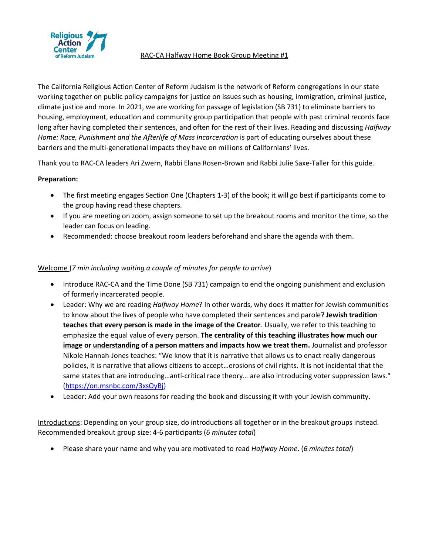

#### RAC-CA Halfway Home Book Group Meeting #1

The California Religious Action Center of Reform Judaism is the network of Reform congregations in our state working together on public policy campaigns for justice on issues such as housing, immigration, criminal justice, climate justice and more. In 2021, we are working for passage of legislation (SB 731) to eliminate barriers to housing, employment, education and community group participation that people with past criminal records face long after having completed their sentences, and often for the rest of their lives. Reading and discussing *Halfway Home: Race, Punishment and the Afterlife of Mass Incarceration is part of educating ourselves about these* barriers and the multi-generational impacts they have on millions of Californians' lives.

Thank you to RAC-CA leaders Ari Zwern, Rabbi Elana Rosen-Brown and Rabbi Julie Saxe-Taller for this guide.

# **Preparation:**

- The first meeting engages Section One (Chapters 1-3) of the book; it will go best if participants come to the group having read these chapters.
- If you are meeting on zoom, assign someone to set up the breakout rooms and monitor the time, so the leader can focus on leading.
- Recommended: choose breakout room leaders beforehand and share the agenda with them.

## Welcome (*7 min including waiting a couple of minutes for people to arrive*)

- Introduce RAC-CA and the Time Done (SB 731) campaign to end the ongoing punishment and exclusion of formerly incarcerated people.
- Leader: Why we are reading *Halfway Home*? In other words, why does it matter for Jewish communities to know about the lives of people who have completed their sentences and parole? **Jewish tradition teaches that every person is made in the image of the Creator**. Usually, we refer to this teaching to emphasize the equal value of every person. **The centrality of this teaching illustrates how much our image or understanding of a person matters and impacts how we treat them.** Journalist and professor Nikole Hannah-Jones teaches: "We know that it is narrative that allows us to enact really dangerous policies, it is narrative that allows citizens to accept…erosions of civil rights. It is not incidental that the same states that are introducing…anti-critical race theory… are also introducing voter suppression laws." [\(https://on.msnbc.com/3xsOyBj\)](https://on.msnbc.com/3xsOyBj)
- Leader: Add your own reasons for reading the book and discussing it with your Jewish community.

Introductions: Depending on your group size, do introductions all together or in the breakout groups instead. Recommended breakout group size: 4-6 participants (*6 minutes total*)

• Please share your name and why you are motivated to read *Halfway Home*. (*6 minutes total*)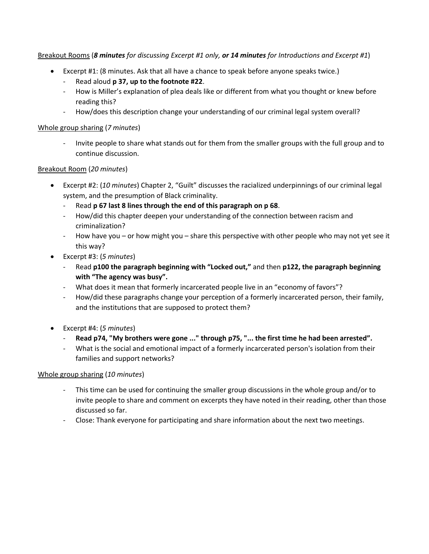#### Breakout Rooms (*8 minutes for discussing Excerpt #1 only, or 14 minutes for Introductions and Excerpt #1*)

- Excerpt #1: (8 minutes. Ask that all have a chance to speak before anyone speaks twice.)
	- Read aloud **p 37, up to the footnote #22**.
	- How is Miller's explanation of plea deals like or different from what you thought or knew before reading this?
	- How/does this description change your understanding of our criminal legal system overall?

#### Whole group sharing (*7 minutes*)

- Invite people to share what stands out for them from the smaller groups with the full group and to continue discussion.

#### Breakout Room (*20 minutes*)

- Excerpt #2: (*10 minutes*) Chapter 2, "Guilt" discusses the racialized underpinnings of our criminal legal system, and the presumption of Black criminality.
	- Read **p 67 last 8 lines through the end of this paragraph on p 68**.
	- How/did this chapter deepen your understanding of the connection between racism and criminalization?
	- How have you or how might you share this perspective with other people who may not yet see it this way?
- Excerpt #3: (*5 minutes*)
	- Read **p100 the paragraph beginning with "Locked out,"** and then **p122, the paragraph beginning with "The agency was busy".**
	- What does it mean that formerly incarcerated people live in an "economy of favors"?
	- How/did these paragraphs change your perception of a formerly incarcerated person, their family, and the institutions that are supposed to protect them?
- Excerpt #4: (*5 minutes*)
	- **Read p74, "My brothers were gone ..." through p75, "... the first time he had been arrested".**
	- What is the social and emotional impact of a formerly incarcerated person's isolation from their families and support networks?

#### Whole group sharing (*10 minutes*)

- This time can be used for continuing the smaller group discussions in the whole group and/or to invite people to share and comment on excerpts they have noted in their reading, other than those discussed so far.
- Close: Thank everyone for participating and share information about the next two meetings.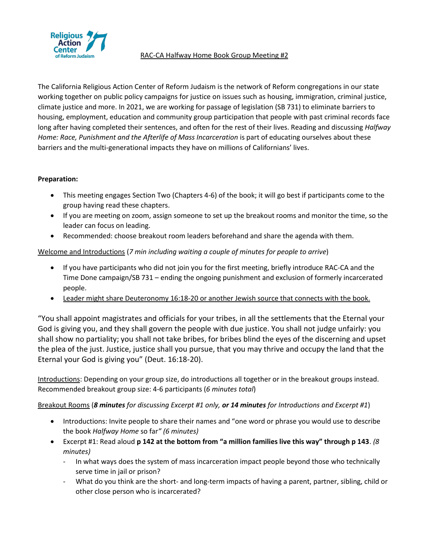

The California Religious Action Center of Reform Judaism is the network of Reform congregations in our state working together on public policy campaigns for justice on issues such as housing, immigration, criminal justice, climate justice and more. In 2021, we are working for passage of legislation (SB 731) to eliminate barriers to housing, employment, education and community group participation that people with past criminal records face long after having completed their sentences, and often for the rest of their lives. Reading and discussing *Halfway Home: Race, Punishment and the Afterlife of Mass Incarceration is part of educating ourselves about these* barriers and the multi-generational impacts they have on millions of Californians' lives.

## **Preparation:**

- This meeting engages Section Two (Chapters 4-6) of the book; it will go best if participants come to the group having read these chapters.
- If you are meeting on zoom, assign someone to set up the breakout rooms and monitor the time, so the leader can focus on leading.
- Recommended: choose breakout room leaders beforehand and share the agenda with them.

Welcome and Introductions (*7 min including waiting a couple of minutes for people to arrive*)

- If you have participants who did not join you for the first meeting, briefly introduce RAC-CA and the Time Done campaign/SB 731 – ending the ongoing punishment and exclusion of formerly incarcerated people.
- Leader might share Deuteronomy 16:18-20 or another Jewish source that connects with the book.

"You shall appoint magistrates and officials for your tribes, in all the settlements that the Eternal your God is giving you, and they shall govern the people with due justice. You shall not judge unfairly: you shall show no partiality; you shall not take bribes, for bribes blind the eyes of the discerning and upset the plea of the just. Justice, justice shall you pursue, that you may thrive and occupy the land that the Eternal your God is giving you" (Deut. 16:18-20).

Introductions: Depending on your group size, do introductions all together or in the breakout groups instead. Recommended breakout group size: 4-6 participants (*6 minutes total*)

Breakout Rooms (*8 minutes for discussing Excerpt #1 only, or 14 minutes for Introductions and Excerpt #1*)

- Introductions: Invite people to share their names and "one word or phrase you would use to describe the book *Halfway Home* so far*" (6 minutes)*
- Excerpt #1: Read aloud **p 142 at the bottom from "a million families live this way" through p 143**. *(8 minutes)*
	- In what ways does the system of mass incarceration impact people beyond those who technically serve time in jail or prison?
	- What do you think are the short- and long-term impacts of having a parent, partner, sibling, child or other close person who is incarcerated?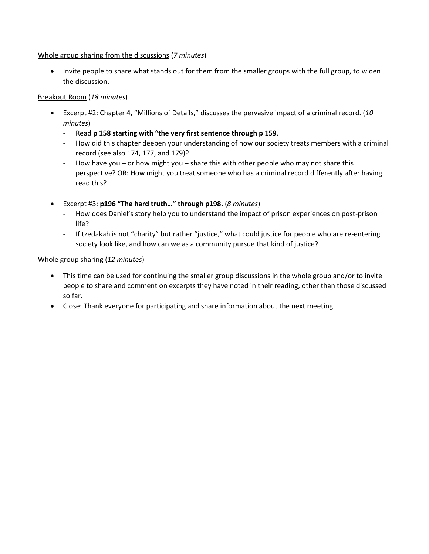#### Whole group sharing from the discussions (*7 minutes*)

• Invite people to share what stands out for them from the smaller groups with the full group, to widen the discussion.

#### Breakout Room (*18 minutes*)

- Excerpt #2: Chapter 4, "Millions of Details," discusses the pervasive impact of a criminal record. (*10 minutes*)
	- Read **p 158 starting with "the very first sentence through p 159**.
	- How did this chapter deepen your understanding of how our society treats members with a criminal record (see also 174, 177, and 179)?
	- How have you or how might you share this with other people who may not share this perspective? OR: How might you treat someone who has a criminal record differently after having read this?
- Excerpt #3: **p196 "The hard truth…" through p198.** (*8 minutes*)
	- How does Daniel's story help you to understand the impact of prison experiences on post-prison life?
	- If tzedakah is not "charity" but rather "justice," what could justice for people who are re-entering society look like, and how can we as a community pursue that kind of justice?

#### Whole group sharing (*12 minutes*)

- This time can be used for continuing the smaller group discussions in the whole group and/or to invite people to share and comment on excerpts they have noted in their reading, other than those discussed so far.
- Close: Thank everyone for participating and share information about the next meeting.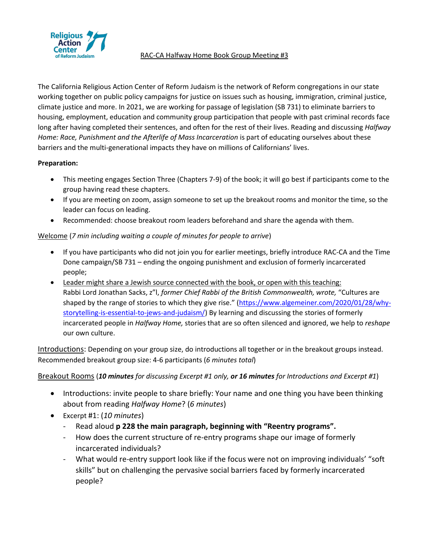

The California Religious Action Center of Reform Judaism is the network of Reform congregations in our state working together on public policy campaigns for justice on issues such as housing, immigration, criminal justice, climate justice and more. In 2021, we are working for passage of legislation (SB 731) to eliminate barriers to housing, employment, education and community group participation that people with past criminal records face long after having completed their sentences, and often for the rest of their lives. Reading and discussing *Halfway Home: Race, Punishment and the Afterlife of Mass Incarceration is part of educating ourselves about these* barriers and the multi-generational impacts they have on millions of Californians' lives.

# **Preparation:**

- This meeting engages Section Three (Chapters 7-9) of the book; it will go best if participants come to the group having read these chapters.
- If you are meeting on zoom, assign someone to set up the breakout rooms and monitor the time, so the leader can focus on leading.
- Recommended: choose breakout room leaders beforehand and share the agenda with them.

# Welcome (*7 min including waiting a couple of minutes for people to arrive*)

- If you have participants who did not join you for earlier meetings, briefly introduce RAC-CA and the Time Done campaign/SB 731 – ending the ongoing punishment and exclusion of formerly incarcerated people;
- Leader might share a Jewish source connected with the book, or open with this teaching: Rabbi Lord Jonathan Sacks, z"l, *former Chief Rabbi of the British Commonwealth, wrote,* "Cultures are shaped by the range of stories to which they give rise." ([https://www.algemeiner.com/2020/01/28/why](https://www.algemeiner.com/2020/01/28/why-storytelling-is-essential-to-jews-and-judaism/)[storytelling-is-essential-to-jews-and-judaism/\)](https://www.algemeiner.com/2020/01/28/why-storytelling-is-essential-to-jews-and-judaism/) By learning and discussing the stories of formerly incarcerated people in *Halfway Home,* stories that are so often silenced and ignored, we help to *reshape* our own culture.

Introductions: Depending on your group size, do introductions all together or in the breakout groups instead. Recommended breakout group size: 4-6 participants (*6 minutes total*)

# Breakout Rooms (*10 minutes for discussing Excerpt #1 only, or 16 minutes for Introductions and Excerpt #1*)

- Introductions: invite people to share briefly: Your name and one thing you have been thinking about from reading *Halfway Home*? (*6 minutes*)
- Excerpt #1: (*10 minutes*)
	- Read aloud **p 228 the main paragraph, beginning with "Reentry programs".**
	- How does the current structure of re-entry programs shape our image of formerly incarcerated individuals?
	- What would re-entry support look like if the focus were not on improving individuals' "soft skills" but on challenging the pervasive social barriers faced by formerly incarcerated people?